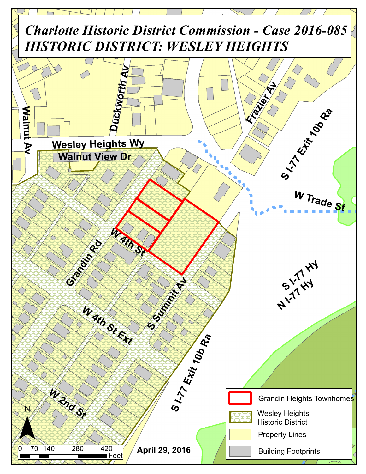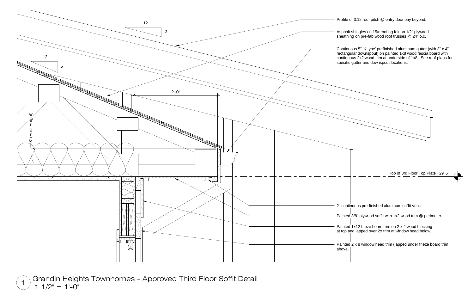

Grandin Heights Townhomes - Approved Third Floor Soffit Detail<br>1 1/2" = 1'-0"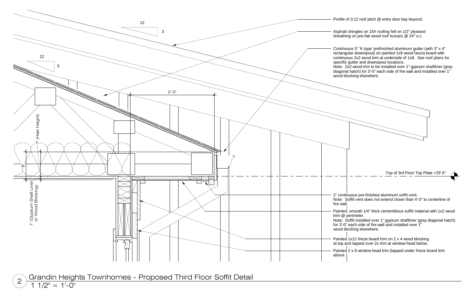

 $\textcircled{2}$  Grandin Heights Townhomes - Proposed Third Floor Soffit Detail <br> $\textcircled{1}$  1/2" = 1'-0"